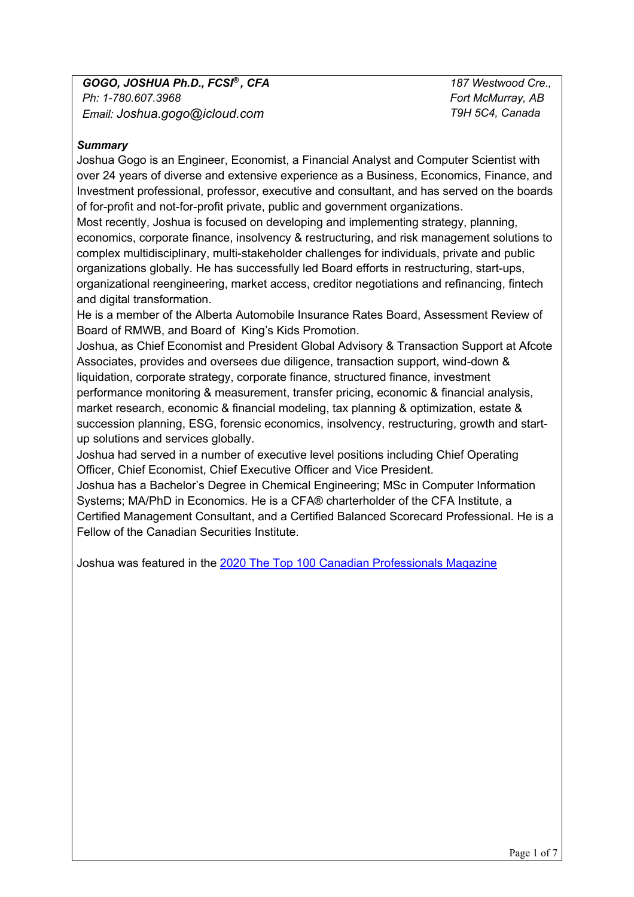*187 Westwood Cre., Fort McMurray, AB T9H 5C4, Canada*

# *Summary*

Joshua Gogo is an Engineer, Economist, a Financial Analyst and Computer Scientist with over 24 years of diverse and extensive experience as a Business, Economics, Finance, and Investment professional, professor, executive and consultant, and has served on the boards of for-profit and not-for-profit private, public and government organizations.

Most recently, Joshua is focused on developing and implementing strategy, planning, economics, corporate finance, insolvency & restructuring, and risk management solutions to complex multidisciplinary, multi-stakeholder challenges for individuals, private and public organizations globally. He has successfully led Board efforts in restructuring, start-ups, organizational reengineering, market access, creditor negotiations and refinancing, fintech and digital transformation.

He is a member of the Alberta Automobile Insurance Rates Board, Assessment Review of Board of RMWB, and Board of King's Kids Promotion.

Joshua, as Chief Economist and President Global Advisory & Transaction Support at Afcote Associates, provides and oversees due diligence, transaction support, wind-down & liquidation, corporate strategy, corporate finance, structured finance, investment performance monitoring & measurement, transfer pricing, economic & financial analysis, market research, economic & financial modeling, tax planning & optimization, estate & succession planning, ESG, forensic economics, insolvency, restructuring, growth and startup solutions and services globally.

Joshua had served in a number of executive level positions including Chief Operating Officer, Chief Economist, Chief Executive Officer and Vice President.

Joshua has a Bachelor's Degree in Chemical Engineering; MSc in Computer Information Systems; MA/PhD in Economics. He is a CFA® charterholder of the CFA Institute, a Certified Management Consultant, and a Certified Balanced Scorecard Professional. He is a Fellow of the Canadian Securities Institute.

Joshua was featured in the 2020 The Top 100 Canadian Professionals Magazine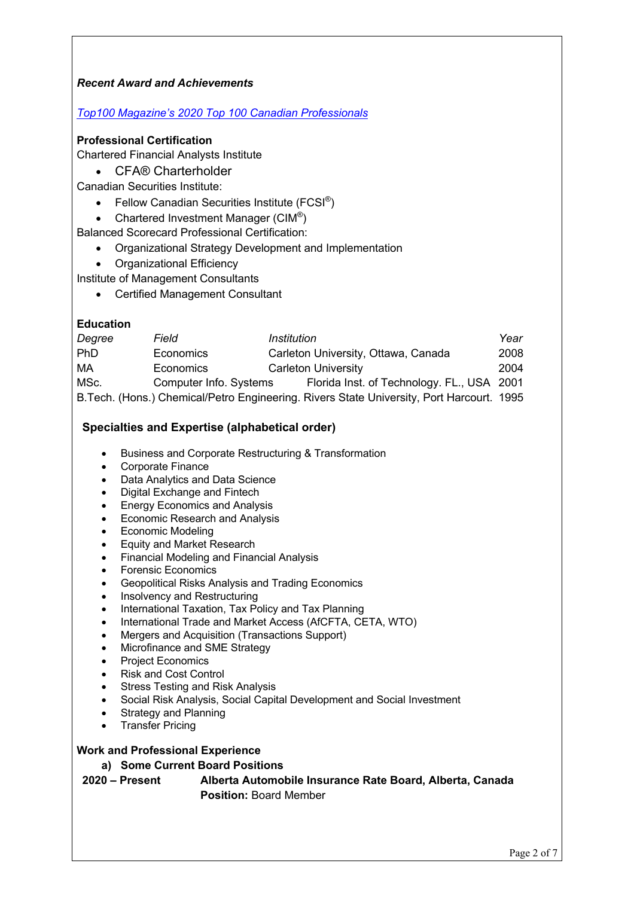## *Recent Award and Achievements*

### *Top100 Magazine's 2020 Top 100 Canadian Professionals*

#### **Professional Certification**

Chartered Financial Analysts Institute

• CFA® Charterholder

Canadian Securities Institute:

- Fellow Canadian Securities Institute (FCSI<sup>®</sup>)
- Chartered Investment Manager  $(CIM^@)$

Balanced Scorecard Professional Certification:

- Organizational Strategy Development and Implementation
- Organizational Efficiency

Institute of Management Consultants

• Certified Management Consultant

#### **Education**

| Degree | Field                  | Institution                                                                               | Year |
|--------|------------------------|-------------------------------------------------------------------------------------------|------|
| PhD    | Economics              | Carleton University, Ottawa, Canada                                                       | 2008 |
| МA     | Economics              | Carleton University                                                                       | 2004 |
| MSc.   | Computer Info. Systems | Florida Inst. of Technology. FL., USA 2001                                                |      |
|        |                        | B. Tech. (Hons.) Chemical/Petro Engineering. Rivers State University, Port Harcourt. 1995 |      |

### **Specialties and Expertise (alphabetical order)**

- Business and Corporate Restructuring & Transformation
- Corporate Finance
- Data Analytics and Data Science
- Digital Exchange and Fintech
- **Energy Economics and Analysis**
- Economic Research and Analysis
- Economic Modeling
- Equity and Market Research
- Financial Modeling and Financial Analysis
- Forensic Economics
- Geopolitical Risks Analysis and Trading Economics
- Insolvency and Restructuring
- International Taxation, Tax Policy and Tax Planning
- International Trade and Market Access (AfCFTA, CETA, WTO)
- Mergers and Acquisition (Transactions Support)
- Microfinance and SME Strategy
- Project Economics
- Risk and Cost Control
- Stress Testing and Risk Analysis
- Social Risk Analysis, Social Capital Development and Social Investment
- **Strategy and Planning**
- **Transfer Pricing**

### **Work and Professional Experience**

#### **a) Some Current Board Positions**

**2020 – Present Alberta Automobile Insurance Rate Board, Alberta, Canada Position:** Board Member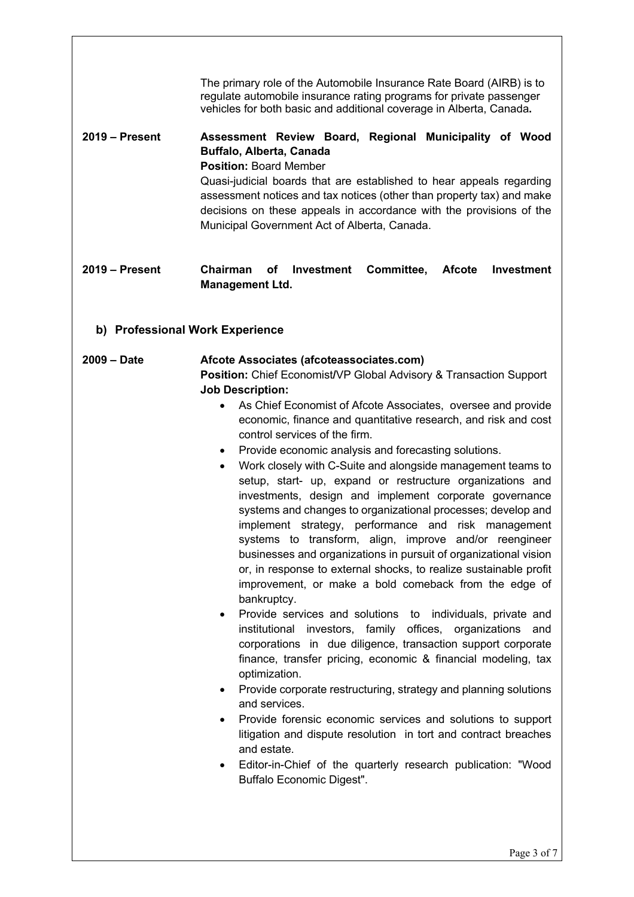| $2019 -$ Present                                 | The primary role of the Automobile Insurance Rate Board (AIRB) is to<br>regulate automobile insurance rating programs for private passenger<br>vehicles for both basic and additional coverage in Alberta, Canada.<br>Assessment Review Board, Regional Municipality of Wood<br>Buffalo, Alberta, Canada<br><b>Position: Board Member</b><br>Quasi-judicial boards that are established to hear appeals regarding<br>assessment notices and tax notices (other than property tax) and make<br>decisions on these appeals in accordance with the provisions of the<br>Municipal Government Act of Alberta, Canada.                                                                                                                                                                                                                                                                                                                                                                                                                                                                                                                                                                                                                                                                                                                                                                                                                                                                                                                                                                                                                                                                        |
|--------------------------------------------------|------------------------------------------------------------------------------------------------------------------------------------------------------------------------------------------------------------------------------------------------------------------------------------------------------------------------------------------------------------------------------------------------------------------------------------------------------------------------------------------------------------------------------------------------------------------------------------------------------------------------------------------------------------------------------------------------------------------------------------------------------------------------------------------------------------------------------------------------------------------------------------------------------------------------------------------------------------------------------------------------------------------------------------------------------------------------------------------------------------------------------------------------------------------------------------------------------------------------------------------------------------------------------------------------------------------------------------------------------------------------------------------------------------------------------------------------------------------------------------------------------------------------------------------------------------------------------------------------------------------------------------------------------------------------------------------|
| $2019 -$ Present                                 | Chairman<br>of<br>Investment<br>Committee,<br><b>Investment</b><br><b>Afcote</b><br><b>Management Ltd.</b>                                                                                                                                                                                                                                                                                                                                                                                                                                                                                                                                                                                                                                                                                                                                                                                                                                                                                                                                                                                                                                                                                                                                                                                                                                                                                                                                                                                                                                                                                                                                                                               |
| b) Professional Work Experience<br>$2009 - Date$ | Afcote Associates (afcoteassociates.com)<br><b>Position:</b> Chief Economist/VP Global Advisory & Transaction Support<br><b>Job Description:</b><br>As Chief Economist of Afcote Associates, oversee and provide<br>$\bullet$<br>economic, finance and quantitative research, and risk and cost<br>control services of the firm.<br>Provide economic analysis and forecasting solutions.<br>$\bullet$<br>Work closely with C-Suite and alongside management teams to<br>$\bullet$<br>setup, start- up, expand or restructure organizations and<br>investments, design and implement corporate governance<br>systems and changes to organizational processes; develop and<br>implement strategy, performance and risk management<br>systems to transform, align, improve and/or reengineer<br>businesses and organizations in pursuit of organizational vision<br>or, in response to external shocks, to realize sustainable profit<br>improvement, or make a bold comeback from the edge of<br>bankruptcy.<br>Provide services and solutions to individuals, private and<br>$\bullet$<br>institutional<br>investors, family<br>offices, organizations<br>and<br>corporations in due diligence, transaction support corporate<br>finance, transfer pricing, economic & financial modeling, tax<br>optimization.<br>Provide corporate restructuring, strategy and planning solutions<br>$\bullet$<br>and services.<br>Provide forensic economic services and solutions to support<br>$\bullet$<br>litigation and dispute resolution in tort and contract breaches<br>and estate.<br>Editor-in-Chief of the quarterly research publication: "Wood<br>$\bullet$<br>Buffalo Economic Digest". |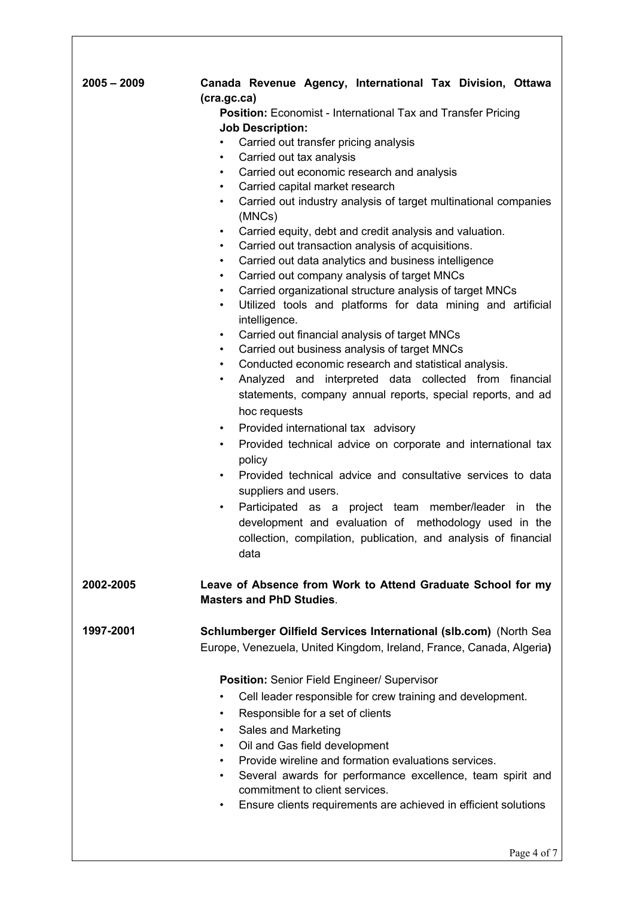| $2005 - 2009$ | Canada Revenue Agency, International Tax Division, Ottawa<br>(cra.gc.ca)                  |  |  |
|---------------|-------------------------------------------------------------------------------------------|--|--|
|               | Position: Economist - International Tax and Transfer Pricing                              |  |  |
|               | <b>Job Description:</b>                                                                   |  |  |
|               | Carried out transfer pricing analysis<br>$\bullet$                                        |  |  |
|               | Carried out tax analysis<br>$\bullet$                                                     |  |  |
|               | Carried out economic research and analysis<br>$\bullet$                                   |  |  |
|               | Carried capital market research<br>$\bullet$                                              |  |  |
|               | Carried out industry analysis of target multinational companies<br>$\bullet$<br>(MNCs)    |  |  |
|               | Carried equity, debt and credit analysis and valuation.<br>$\bullet$                      |  |  |
|               | Carried out transaction analysis of acquisitions.<br>٠                                    |  |  |
|               | Carried out data analytics and business intelligence<br>$\bullet$                         |  |  |
|               | Carried out company analysis of target MNCs<br>$\bullet$                                  |  |  |
|               | Carried organizational structure analysis of target MNCs<br>٠                             |  |  |
|               | Utilized tools and platforms for data mining and artificial<br>$\bullet$<br>intelligence. |  |  |
|               | Carried out financial analysis of target MNCs<br>$\bullet$                                |  |  |
|               | Carried out business analysis of target MNCs<br>$\bullet$                                 |  |  |
|               | Conducted economic research and statistical analysis.<br>$\bullet$                        |  |  |
|               | Analyzed and interpreted data collected from financial<br>$\bullet$                       |  |  |
|               | statements, company annual reports, special reports, and ad                               |  |  |
|               | hoc requests                                                                              |  |  |
|               | Provided international tax advisory<br>$\bullet$                                          |  |  |
|               | Provided technical advice on corporate and international tax<br>$\bullet$                 |  |  |
|               | policy                                                                                    |  |  |
|               | Provided technical advice and consultative services to data<br>٠                          |  |  |
|               | suppliers and users.                                                                      |  |  |
|               | Participated as a project team member/leader in the<br>$\bullet$                          |  |  |
|               | development and evaluation of methodology used in the                                     |  |  |
|               | collection, compilation, publication, and analysis of financial                           |  |  |
|               | data                                                                                      |  |  |
| 2002-2005     | Leave of Absence from Work to Attend Graduate School for my                               |  |  |
|               | <b>Masters and PhD Studies.</b>                                                           |  |  |
|               |                                                                                           |  |  |
| 1997-2001     | Schlumberger Oilfield Services International (slb.com) (North Sea                         |  |  |
|               | Europe, Venezuela, United Kingdom, Ireland, France, Canada, Algeria)                      |  |  |
|               |                                                                                           |  |  |
|               | Position: Senior Field Engineer/ Supervisor                                               |  |  |
|               | Cell leader responsible for crew training and development.<br>$\bullet$                   |  |  |
|               | Responsible for a set of clients<br>٠                                                     |  |  |
|               | Sales and Marketing<br>$\bullet$                                                          |  |  |
|               | Oil and Gas field development<br>$\bullet$                                                |  |  |
|               | Provide wireline and formation evaluations services.<br>$\bullet$                         |  |  |
|               | Several awards for performance excellence, team spirit and<br>$\bullet$                   |  |  |
|               | commitment to client services.                                                            |  |  |
|               | Ensure clients requirements are achieved in efficient solutions<br>$\bullet$              |  |  |
|               |                                                                                           |  |  |
|               |                                                                                           |  |  |
|               |                                                                                           |  |  |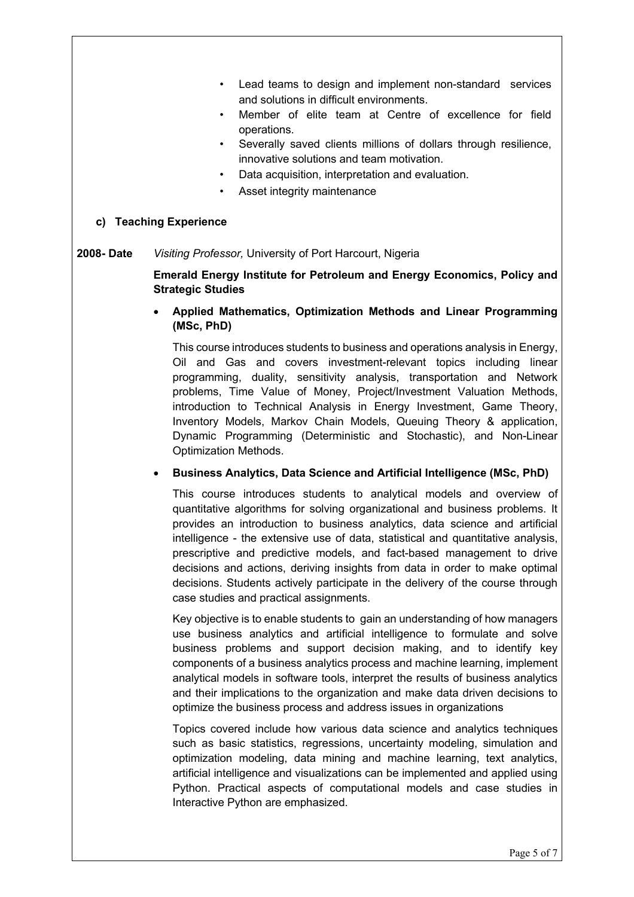- Lead teams to design and implement non-standard services and solutions in difficult environments.
- Member of elite team at Centre of excellence for field operations.
- Severally saved clients millions of dollars through resilience, innovative solutions and team motivation.
- Data acquisition, interpretation and evaluation.
- Asset integrity maintenance

### **c) Teaching Experience**

**2008- Date** *Visiting Professor,* University of Port Harcourt, Nigeria

**Emerald Energy Institute for Petroleum and Energy Economics, Policy and Strategic Studies**

• **Applied Mathematics, Optimization Methods and Linear Programming (MSc, PhD)**

This course introduces students to business and operations analysis in Energy, Oil and Gas and covers investment-relevant topics including linear programming, duality, sensitivity analysis, transportation and Network problems, Time Value of Money, Project/Investment Valuation Methods, introduction to Technical Analysis in Energy Investment, Game Theory, Inventory Models, Markov Chain Models, Queuing Theory & application, Dynamic Programming (Deterministic and Stochastic), and Non-Linear Optimization Methods.

• **Business Analytics, Data Science and Artificial Intelligence (MSc, PhD)**

This course introduces students to analytical models and overview of quantitative algorithms for solving organizational and business problems. It provides an introduction to business analytics, data science and artificial intelligence - the extensive use of data, statistical and quantitative analysis, prescriptive and predictive models, and fact-based management to drive decisions and actions, deriving insights from data in order to make optimal decisions. Students actively participate in the delivery of the course through case studies and practical assignments.

Key objective is to enable students to gain an understanding of how managers use business analytics and artificial intelligence to formulate and solve business problems and support decision making, and to identify key components of a business analytics process and machine learning, implement analytical models in software tools, interpret the results of business analytics and their implications to the organization and make data driven decisions to optimize the business process and address issues in organizations

Topics covered include how various data science and analytics techniques such as basic statistics, regressions, uncertainty modeling, simulation and optimization modeling, data mining and machine learning, text analytics, artificial intelligence and visualizations can be implemented and applied using Python. Practical aspects of computational models and case studies in Interactive Python are emphasized.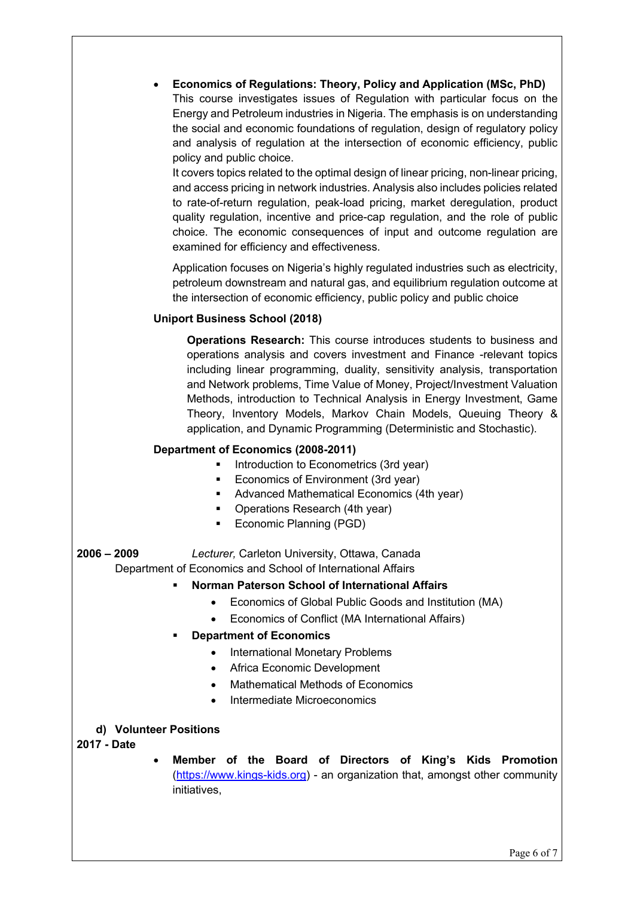• **Economics of Regulations: Theory, Policy and Application (MSc, PhD)** This course investigates issues of Regulation with particular focus on the Energy and Petroleum industries in Nigeria. The emphasis is on understanding

the social and economic foundations of regulation, design of regulatory policy and analysis of regulation at the intersection of economic efficiency, public policy and public choice.

It covers topics related to the optimal design of linear pricing, non-linear pricing, and access pricing in network industries. Analysis also includes policies related to rate-of-return regulation, peak-load pricing, market deregulation, product quality regulation, incentive and price-cap regulation, and the role of public choice. The economic consequences of input and outcome regulation are examined for efficiency and effectiveness.

Application focuses on Nigeria's highly regulated industries such as electricity, petroleum downstream and natural gas, and equilibrium regulation outcome at the intersection of economic efficiency, public policy and public choice

# **Uniport Business School (2018)**

**Operations Research:** This course introduces students to business and operations analysis and covers investment and Finance -relevant topics including linear programming, duality, sensitivity analysis, transportation and Network problems, Time Value of Money, Project/Investment Valuation Methods, introduction to Technical Analysis in Energy Investment, Game Theory, Inventory Models, Markov Chain Models, Queuing Theory & application, and Dynamic Programming (Deterministic and Stochastic).

## **Department of Economics (2008-2011)**

- Introduction to Econometrics (3rd year)
- Economics of Environment (3rd year)
- Advanced Mathematical Economics (4th year)
- Operations Research (4th year)
- § Economic Planning (PGD)

**2006 – 2009** *Lecturer,* Carleton University, Ottawa, Canada Department of Economics and School of International Affairs

## § **Norman Paterson School of International Affairs**

- Economics of Global Public Goods and Institution (MA)
- Economics of Conflict (MA International Affairs)

## § **Department of Economics**

- International Monetary Problems
- Africa Economic Development
- Mathematical Methods of Economics
- Intermediate Microeconomics

## **d) Volunteer Positions**

## **2017 - Date**

• **Member of the Board of Directors of King's Kids Promotion**  (https://www.kings-kids.org) - an organization that, amongst other community initiatives,